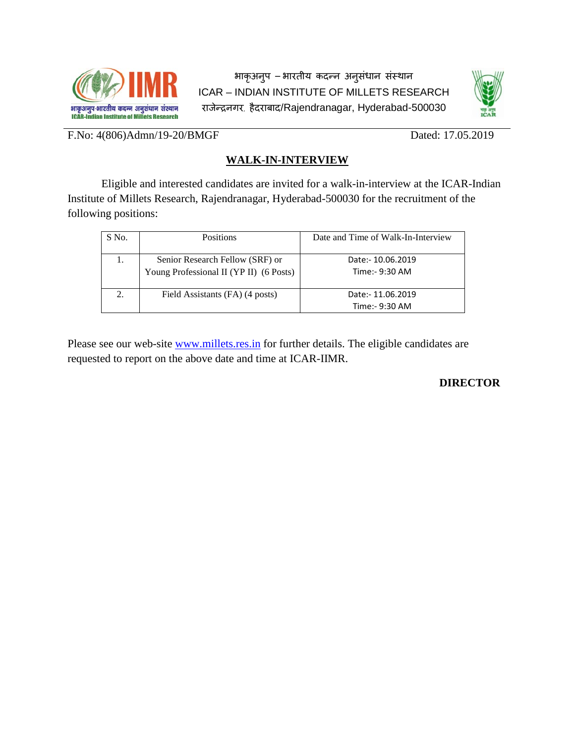

भाकृअनु प – भारतीय कदन्न अनुसंधान संस्थ ICAR – INDIAN INSTITUTE OF MILLETS RESEARCH राजेन्द्रनगर, हैदराबाद/Rajendranagar, Hyderabad-500030



F.No: 4(806)Admn/19-20/BMGF Dated: 17.05.2019

# **WALK-IN-INTERVIEW**

Eligible and interested candidates are invited for a walk-in-interview at the ICAR-Indian Institute of Millets Research, Rajendranagar, Hyderabad-500030 for the recruitment of the following positions:

| S No. | <b>Positions</b>                                                           | Date and Time of Walk-In-Interview   |
|-------|----------------------------------------------------------------------------|--------------------------------------|
|       | Senior Research Fellow (SRF) or<br>Young Professional II (YP II) (6 Posts) | Date: - 10.06.2019<br>Time:- 9:30 AM |
|       | Field Assistants (FA) (4 posts)                                            | Date: - 11.06.2019<br>Time:- 9:30 AM |

Please see our web-site [www.millets.res.in](http://www.millets.res.in/) for further details. The eligible candidates are requested to report on the above date and time at ICAR-IIMR.

# **DIRECTOR**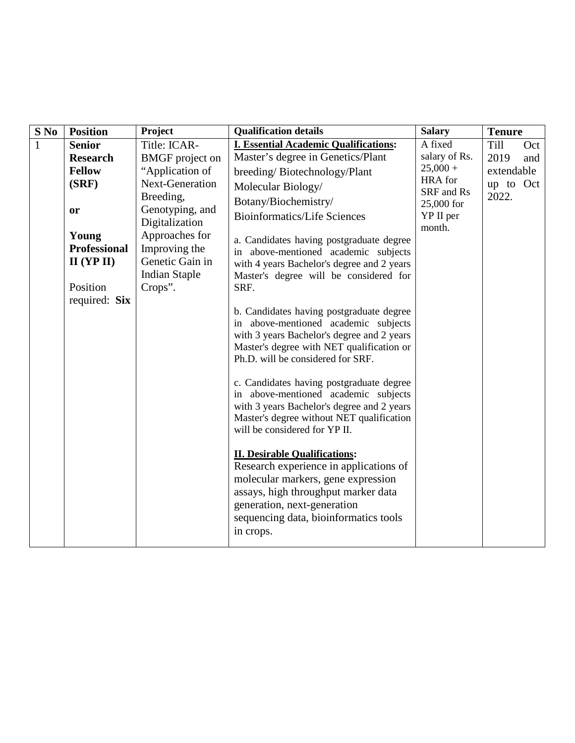| $S$ No       | <b>Position</b>     | Project                | <b>Qualification details</b>                                                                                                                                                                                                                                                                                                                                                                                                                                                                                                                                                                                                                                                         | <b>Salary</b>         | <b>Tenure</b> |
|--------------|---------------------|------------------------|--------------------------------------------------------------------------------------------------------------------------------------------------------------------------------------------------------------------------------------------------------------------------------------------------------------------------------------------------------------------------------------------------------------------------------------------------------------------------------------------------------------------------------------------------------------------------------------------------------------------------------------------------------------------------------------|-----------------------|---------------|
| $\mathbf{1}$ | <b>Senior</b>       | Title: ICAR-           | <b>I. Essential Academic Qualifications:</b>                                                                                                                                                                                                                                                                                                                                                                                                                                                                                                                                                                                                                                         | A fixed               | Till<br>Oct   |
|              | <b>Research</b>     | <b>BMGF</b> project on | Master's degree in Genetics/Plant                                                                                                                                                                                                                                                                                                                                                                                                                                                                                                                                                                                                                                                    | salary of Rs.         | 2019<br>and   |
|              | <b>Fellow</b>       | "Application of        | breeding/Biotechnology/Plant                                                                                                                                                                                                                                                                                                                                                                                                                                                                                                                                                                                                                                                         | $25,000 +$<br>HRA for | extendable    |
|              | (SRF)               | Next-Generation        | Molecular Biology/                                                                                                                                                                                                                                                                                                                                                                                                                                                                                                                                                                                                                                                                   | SRF and Rs            | up to Oct     |
|              |                     | Breeding,              | Botany/Biochemistry/                                                                                                                                                                                                                                                                                                                                                                                                                                                                                                                                                                                                                                                                 | 25,000 for            | 2022.         |
|              | or                  | Genotyping, and        | <b>Bioinformatics/Life Sciences</b>                                                                                                                                                                                                                                                                                                                                                                                                                                                                                                                                                                                                                                                  | YP II per             |               |
|              |                     | Digitalization         |                                                                                                                                                                                                                                                                                                                                                                                                                                                                                                                                                                                                                                                                                      | month.                |               |
|              | Young               | Approaches for         | a. Candidates having postgraduate degree                                                                                                                                                                                                                                                                                                                                                                                                                                                                                                                                                                                                                                             |                       |               |
|              | <b>Professional</b> | Improving the          | in above-mentioned academic subjects                                                                                                                                                                                                                                                                                                                                                                                                                                                                                                                                                                                                                                                 |                       |               |
|              | $II$ (YP $II$ )     | Genetic Gain in        | with 4 years Bachelor's degree and 2 years                                                                                                                                                                                                                                                                                                                                                                                                                                                                                                                                                                                                                                           |                       |               |
|              | Position            | <b>Indian Staple</b>   | Master's degree will be considered for                                                                                                                                                                                                                                                                                                                                                                                                                                                                                                                                                                                                                                               |                       |               |
|              |                     | Crops".                | SRF.                                                                                                                                                                                                                                                                                                                                                                                                                                                                                                                                                                                                                                                                                 |                       |               |
|              | required: Six       |                        | b. Candidates having postgraduate degree<br>in above-mentioned academic subjects<br>with 3 years Bachelor's degree and 2 years<br>Master's degree with NET qualification or<br>Ph.D. will be considered for SRF.<br>c. Candidates having postgraduate degree<br>in above-mentioned academic subjects<br>with 3 years Bachelor's degree and 2 years<br>Master's degree without NET qualification<br>will be considered for YP II.<br><b>II. Desirable Qualifications:</b><br>Research experience in applications of<br>molecular markers, gene expression<br>assays, high throughput marker data<br>generation, next-generation<br>sequencing data, bioinformatics tools<br>in crops. |                       |               |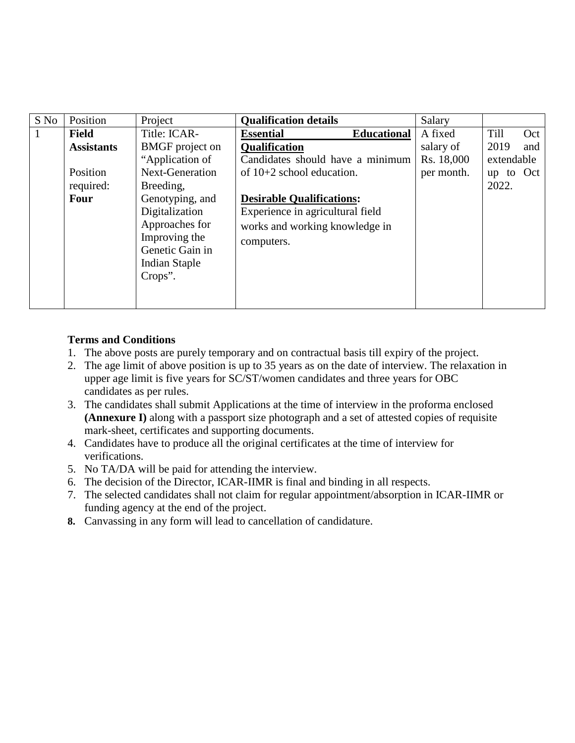| S No | Position          | Project                | <b>Qualification details</b>           | Salary     |             |
|------|-------------------|------------------------|----------------------------------------|------------|-------------|
|      | Field             | Title: ICAR-           | <b>Essential</b><br><b>Educational</b> | A fixed    | Till<br>Oct |
|      | <b>Assistants</b> | <b>BMGF</b> project on | <b>Qualification</b>                   | salary of  | 2019<br>and |
|      |                   | "Application of        | Candidates should have a minimum       | Rs. 18,000 | extendable  |
|      | Position          | <b>Next-Generation</b> | of $10+2$ school education.            | per month. | up to $Oct$ |
|      | required:         | Breeding,              |                                        |            | 2022.       |
|      | Four              | Genotyping, and        | <b>Desirable Qualifications:</b>       |            |             |
|      |                   | Digitalization         | Experience in agricultural field       |            |             |
|      |                   | Approaches for         | works and working knowledge in         |            |             |
|      |                   | Improving the          | computers.                             |            |             |
|      |                   | Genetic Gain in        |                                        |            |             |
|      |                   | Indian Staple          |                                        |            |             |
|      |                   | Crops".                |                                        |            |             |
|      |                   |                        |                                        |            |             |
|      |                   |                        |                                        |            |             |

# **Terms and Conditions**

- 1. The above posts are purely temporary and on contractual basis till expiry of the project.
- 2. The age limit of above position is up to 35 years as on the date of interview. The relaxation in upper age limit is five years for SC/ST/women candidates and three years for OBC candidates as per rules.
- 3. The candidates shall submit Applications at the time of interview in the proforma enclosed **(Annexure I)** along with a passport size photograph and a set of attested copies of requisite mark-sheet, certificates and supporting documents.
- 4. Candidates have to produce all the original certificates at the time of interview for verifications.
- 5. No TA/DA will be paid for attending the interview.
- 6. The decision of the Director, ICAR-IIMR is final and binding in all respects.
- 7. The selected candidates shall not claim for regular appointment/absorption in ICAR-IIMR or funding agency at the end of the project.
- **8.** Canvassing in any form will lead to cancellation of candidature.